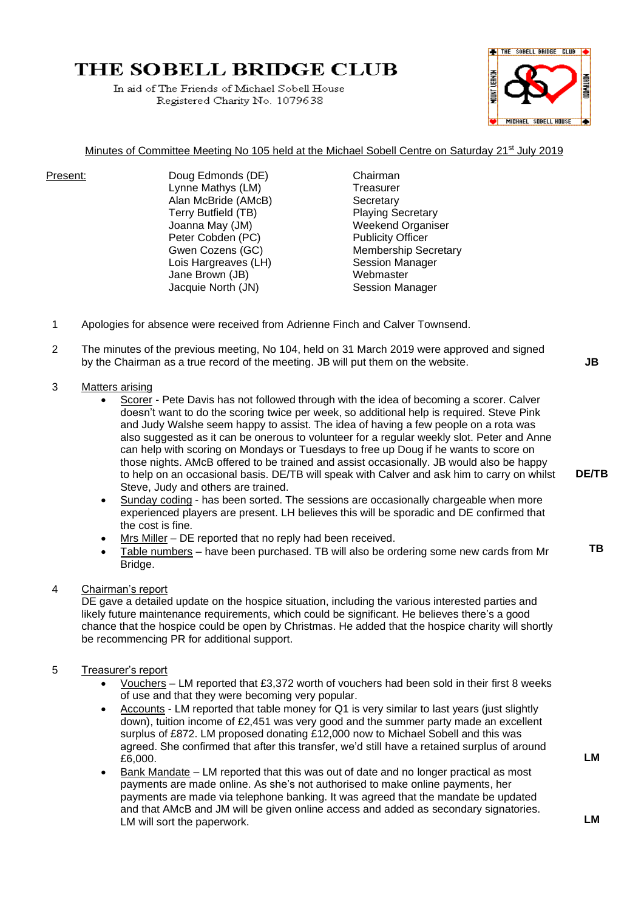# THE SOBELL BRIDGE CLUB

In aid of The Friends of Michael Sobell House Registered Charity No. 1079638



### Minutes of Committee Meeting No 105 held at the Michael Sobell Centre on Saturday 21<sup>st</sup> July 2019

Present: Doug Edmonds (DE) Chairman Lynne Mathys (LM) Treasurer Alan McBride (AMcB) Secretary Terry Butfield (TB) Playing Secretary Joanna May (JM) Weekend Organiser Peter Cobden (PC) Publicity Officer Lois Hargreaves (LH) Session Manager Jane Brown (JB) Webmaster Jacquie North (JN) Session Manager

Gwen Cozens (GC) Membership Secretary

- 1 Apologies for absence were received from Adrienne Finch and Calver Townsend.
- 2 The minutes of the previous meeting, No 104, held on 31 March 2019 were approved and signed by the Chairman as a true record of the meeting. JB will put them on the website.
- 3 Matters arising
	- Scorer Pete Davis has not followed through with the idea of becoming a scorer. Calver doesn't want to do the scoring twice per week, so additional help is required. Steve Pink and Judy Walshe seem happy to assist. The idea of having a few people on a rota was also suggested as it can be onerous to volunteer for a regular weekly slot. Peter and Anne can help with scoring on Mondays or Tuesdays to free up Doug if he wants to score on those nights. AMcB offered to be trained and assist occasionally. JB would also be happy to help on an occasional basis. DE/TB will speak with Calver and ask him to carry on whilst Steve, Judy and others are trained.
	- Sunday coding has been sorted. The sessions are occasionally chargeable when more experienced players are present. LH believes this will be sporadic and DE confirmed that the cost is fine.
	- Mrs Miller DE reported that no reply had been received.
	- Table numbers have been purchased. TB will also be ordering some new cards from Mr Bridge.

## 4 Chairman's report

DE gave a detailed update on the hospice situation, including the various interested parties and likely future maintenance requirements, which could be significant. He believes there's a good chance that the hospice could be open by Christmas. He added that the hospice charity will shortly be recommencing PR for additional support.

- 5 Treasurer's report
	- Vouchers LM reported that £3,372 worth of vouchers had been sold in their first 8 weeks of use and that they were becoming very popular.
	- Accounts LM reported that table money for Q1 is very similar to last years (just slightly down), tuition income of £2,451 was very good and the summer party made an excellent surplus of £872. LM proposed donating £12,000 now to Michael Sobell and this was agreed. She confirmed that after this transfer, we'd still have a retained surplus of around £6,000.
	- Bank Mandate LM reported that this was out of date and no longer practical as most payments are made online. As she's not authorised to make online payments, her payments are made via telephone banking. It was agreed that the mandate be updated and that AMcB and JM will be given online access and added as secondary signatories. LM will sort the paperwork.

**JB**

**DE/TB**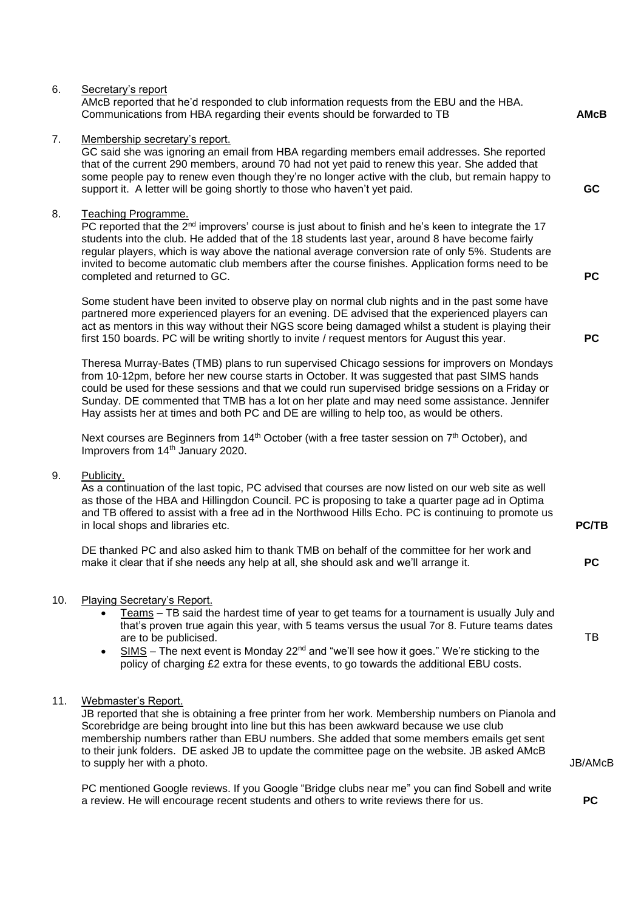|     | Communications from HBA regarding their events should be forwarded to TB                                                                                                                                                                                                                                                                                                                                                                                                                    | <b>AMcB</b>  |
|-----|---------------------------------------------------------------------------------------------------------------------------------------------------------------------------------------------------------------------------------------------------------------------------------------------------------------------------------------------------------------------------------------------------------------------------------------------------------------------------------------------|--------------|
| 7.  | Membership secretary's report.<br>GC said she was ignoring an email from HBA regarding members email addresses. She reported<br>that of the current 290 members, around 70 had not yet paid to renew this year. She added that<br>some people pay to renew even though they're no longer active with the club, but remain happy to<br>support it. A letter will be going shortly to those who haven't yet paid.                                                                             | GC           |
| 8.  | <b>Teaching Programme.</b><br>PC reported that the $2nd$ improvers' course is just about to finish and he's keen to integrate the 17<br>students into the club. He added that of the 18 students last year, around 8 have become fairly<br>regular players, which is way above the national average conversion rate of only 5%. Students are<br>invited to become automatic club members after the course finishes. Application forms need to be<br>completed and returned to GC.           | <b>PC</b>    |
|     | Some student have been invited to observe play on normal club nights and in the past some have<br>partnered more experienced players for an evening. DE advised that the experienced players can<br>act as mentors in this way without their NGS score being damaged whilst a student is playing their<br>first 150 boards. PC will be writing shortly to invite / request mentors for August this year.                                                                                    | <b>PC</b>    |
|     | Theresa Murray-Bates (TMB) plans to run supervised Chicago sessions for improvers on Mondays<br>from 10-12pm, before her new course starts in October. It was suggested that past SIMS hands<br>could be used for these sessions and that we could run supervised bridge sessions on a Friday or<br>Sunday. DE commented that TMB has a lot on her plate and may need some assistance. Jennifer<br>Hay assists her at times and both PC and DE are willing to help too, as would be others. |              |
|     | Next courses are Beginners from $14th$ October (with a free taster session on $7th$ October), and<br>Improvers from 14 <sup>th</sup> January 2020.                                                                                                                                                                                                                                                                                                                                          |              |
| 9.  | Publicity.<br>As a continuation of the last topic, PC advised that courses are now listed on our web site as well<br>as those of the HBA and Hillingdon Council. PC is proposing to take a quarter page ad in Optima<br>and TB offered to assist with a free ad in the Northwood Hills Echo. PC is continuing to promote us<br>in local shops and libraries etc.                                                                                                                            | <b>PC/TB</b> |
|     | DE thanked PC and also asked him to thank TMB on behalf of the committee for her work and<br>make it clear that if she needs any help at all, she should ask and we'll arrange it.                                                                                                                                                                                                                                                                                                          | <b>PC</b>    |
| 10. | Playing Secretary's Report.<br>Teams - TB said the hardest time of year to get teams for a tournament is usually July and<br>that's proven true again this year, with 5 teams versus the usual 7or 8. Future teams dates<br>are to be publicised.<br>SIMS - The next event is Monday 22 <sup>nd</sup> and "we'll see how it goes." We're sticking to the<br>$\bullet$<br>policy of charging £2 extra for these events, to go towards the additional EBU costs.                              | TB           |
| 11. | Webmaster's Report.<br>JB reported that she is obtaining a free printer from her work. Membership numbers on Pianola and<br>Scorebridge are being brought into line but this has been awkward because we use club<br>membership numbers rather than EBU numbers. She added that some members emails get sent<br>to their junk folders. DE asked JB to update the committee page on the website. JB asked AMcB                                                                               |              |

AMcB reported that he'd responded to club information requests from the EBU and the HBA.

6. Secretary's report

to supply her with a photo.

PC mentioned Google reviews. If you Google "Bridge clubs near me" you can find Sobell and write a review. He will encourage recent students and others to write reviews there for us.

 **PC**

JB/AMcB